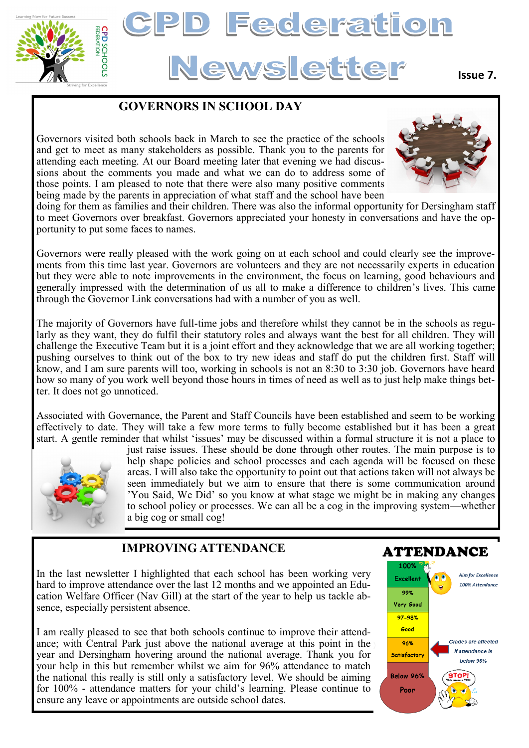

# **Federation** News etter

#### **Issue 7.**

## **GOVERNORS IN SCHOOL DAY**

Governors visited both schools back in March to see the practice of the schools and get to meet as many stakeholders as possible. Thank you to the parents for attending each meeting. At our Board meeting later that evening we had discussions about the comments you made and what we can do to address some of those points. I am pleased to note that there were also many positive comments being made by the parents in appreciation of what staff and the school have been



doing for them as families and their children. There was also the informal opportunity for Dersingham staff to meet Governors over breakfast. Governors appreciated your honesty in conversations and have the opportunity to put some faces to names.

Governors were really pleased with the work going on at each school and could clearly see the improvements from this time last year. Governors are volunteers and they are not necessarily experts in education but they were able to note improvements in the environment, the focus on learning, good behaviours and generally impressed with the determination of us all to make a difference to children's lives. This came through the Governor Link conversations had with a number of you as well.

The majority of Governors have full-time jobs and therefore whilst they cannot be in the schools as regularly as they want, they do fulfil their statutory roles and always want the best for all children. They will challenge the Executive Team but it is a joint effort and they acknowledge that we are all working together; pushing ourselves to think out of the box to try new ideas and staff do put the children first. Staff will know, and I am sure parents will too, working in schools is not an 8:30 to 3:30 job. Governors have heard how so many of you work well beyond those hours in times of need as well as to just help make things better. It does not go unnoticed.

Associated with Governance, the Parent and Staff Councils have been established and seem to be working effectively to date. They will take a few more terms to fully become established but it has been a great start. A gentle reminder that whilst 'issues' may be discussed within a formal structure it is not a place to



just raise issues. These should be done through other routes. The main purpose is to help shape policies and school processes and each agenda will be focused on these areas. I will also take the opportunity to point out that actions taken will not always be seen immediately but we aim to ensure that there is some communication around 'You Said, We Did' so you know at what stage we might be in making any changes to school policy or processes. We can all be a cog in the improving system—whether a big cog or small cog!

## **IMPROVING ATTENDANCE**

In the last newsletter I highlighted that each school has been working very hard to improve attendance over the last 12 months and we appointed an Education Welfare Officer (Nav Gill) at the start of the year to help us tackle absence, especially persistent absence.

I am really pleased to see that both schools continue to improve their attendance; with Central Park just above the national average at this point in the year and Dersingham hovering around the national average. Thank you for your help in this but remember whilst we aim for 96% attendance to match the national this really is still only a satisfactory level. We should be aiming for 100% - attendance matters for your child's learning. Please continue to ensure any leave or appointments are outside school dates.

#### **ATTENDANCE Aim for Excellence** Excellen 100% Attendance oov Very Good 97-98% Good **Grades are affected** 96% if attendance is Satisfactory below 96% Below 96% Poor